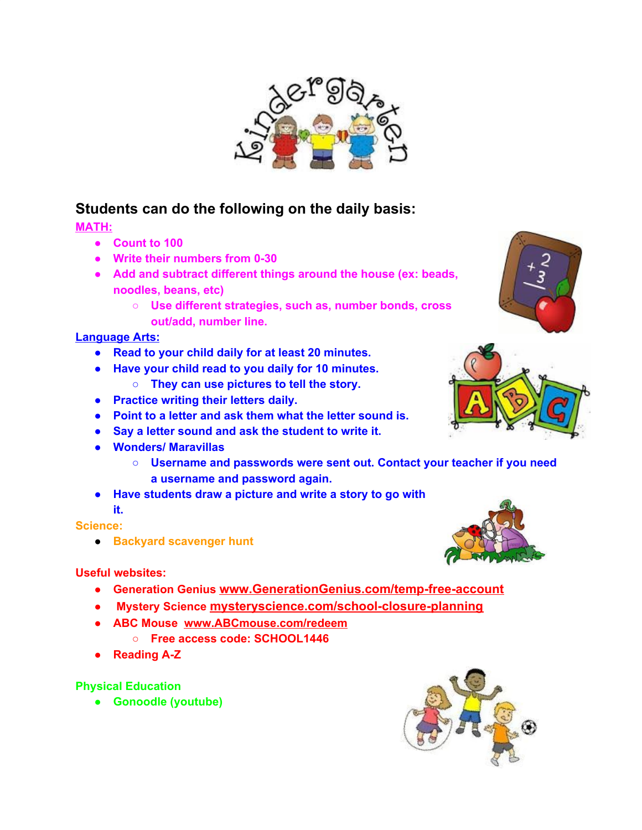

## **Students can do the following on the daily basis:**

**MATH:**

- **● Count to 100**
- **● Write their numbers from 0-30**
- **● Add and subtract different things around the house (ex: beads, noodles, beans, etc)**
	- **○ Use different strategies, such as, number bonds, cross out/add, number line.**

### **Language Arts:**

- **● Read to your child daily for at least 20 minutes.**
- **● Have your child read to you daily for 10 minutes.**
	- **○ They can use pictures to tell the story.**
- **● Practice writing their letters daily.**
- **● Point to a letter and ask them what the letter sound is.**
- **● Say a letter sound and ask the student to write it.**
- **● Wonders/ Maravillas**
	- **○ Username and passwords were sent out. Contact your teacher if you need a username and password again.**
- **● Have students draw a picture and write a story to go with it.**

#### **Science:**

**● Backyard scavenger hunt**

### **Useful websites:**

- **● Generation Genius [www.GenerationGenius.com/temp-free-account](https://www.generationgenius.com/temp-free-account)**
- **● Mystery Science [mysteryscience.com/school-closure-planning](http://mysteryscience.com/school-closure-planning)**
- **● ABC Mouse [www.ABCmouse.com/redeem](http://www.abcmouse.com/redeem)**
	- **○ Free access code: SCHOOL1446**
- **● Reading A-Z**

### **Physical Education**

**● Gonoodle (youtube)**